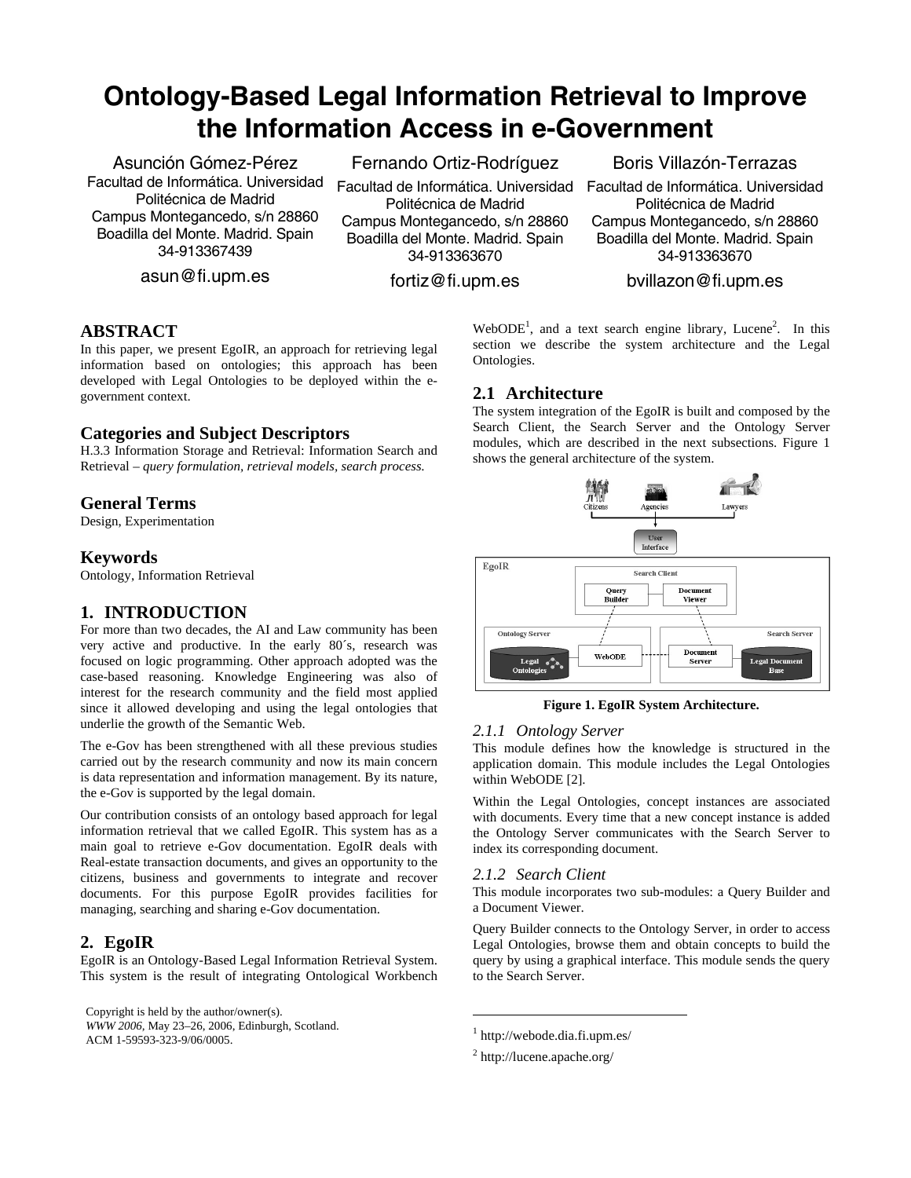# **Ontology-Based Legal Information Retrieval to Improve the Information Access in e-Government**

Asunción Gómez-Pérez Facultad de Informática. Universidad Politécnica de Madrid Campus Montegancedo, s/n 28860 Boadilla del Monte. Madrid. Spain 34-913367439

asun@fi.upm.es

Fernando Ortiz-Rodríguez

Facultad de Informática. Universidad Politécnica de Madrid Campus Montegancedo, s/n 28860 Boadilla del Monte. Madrid. Spain 34-913363670

fortiz@fi.upm.es

Boris Villazón-Terrazas

Facultad de Informática. Universidad Politécnica de Madrid Campus Montegancedo, s/n 28860 Boadilla del Monte. Madrid. Spain 34-913363670

# bvillazon@fi.upm.es

# **ABSTRACT**

In this paper, we present EgoIR, an approach for retrieving legal information based on ontologies; this approach has been developed with Legal Ontologies to be deployed within the egovernment context.

# **Categories and Subject Descriptors**

H.3.3 Information Storage and Retrieval: Information Search and Retrieval – *query formulation, retrieval models, search process*.

# **General Terms**

Design, Experimentation

# **Keywords**

Ontology, Information Retrieval

# **1. INTRODUCTION**

For more than two decades, the AI and Law community has been very active and productive. In the early 80´s, research was focused on logic programming. Other approach adopted was the case-based reasoning. Knowledge Engineering was also of interest for the research community and the field most applied since it allowed developing and using the legal ontologies that underlie the growth of the Semantic Web.

The e-Gov has been strengthened with all these previous studies carried out by the research community and now its main concern is data representation and information management. By its nature, the e-Gov is supported by the legal domain.

Our contribution consists of an ontology based approach for legal information retrieval that we called EgoIR. This system has as a main goal to retrieve e-Gov documentation. EgoIR deals with Real-estate transaction documents, and gives an opportunity to the citizens, business and governments to integrate and recover documents. For this purpose EgoIR provides facilities for managing, searching and sharing e-Gov documentation.

# **2. EgoIR**

EgoIR is an Ontology-Based Legal Information Retrieval System. This system is the result of integrating Ontological Workbench

Copyright is held by the author/owner(s).

*WWW 2006,* May 23–26, 2006, Edinburgh, Scotland. ACM 1-59593-323-9/06/0005.

WebODE<sup>1</sup>, and a text search engine library, Lucene<sup>2</sup>. In this section we describe the system architecture and the Legal Ontologies.

# **2.1 Architecture**

The system integration of the EgoIR is built and composed by the Search Client, the Search Server and the Ontology Server modules, which are described in the next subsections. Figure 1 shows the general architecture of the system.



#### **Figure 1. EgoIR System Architecture.**

## *2.1.1 Ontology Server*

This module defines how the knowledge is structured in the application domain. This module includes the Legal Ontologies within WebODE [2].

Within the Legal Ontologies, concept instances are associated with documents. Every time that a new concept instance is added the Ontology Server communicates with the Search Server to index its corresponding document.

#### *2.1.2 Search Client*

This module incorporates two sub-modules: a Query Builder and a Document Viewer.

Query Builder connects to the Ontology Server, in order to access Legal Ontologies, browse them and obtain concepts to build the query by using a graphical interface. This module sends the query to the Search Server.

1

<sup>1</sup> http://webode.dia.fi.upm.es/

<sup>&</sup>lt;sup>2</sup> http://lucene.apache.org/